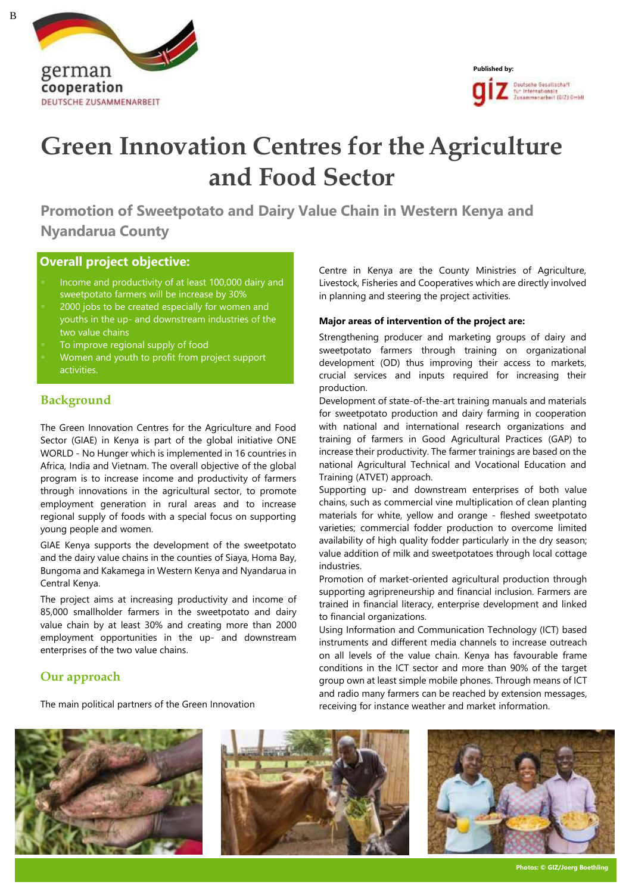



# **Green Innovation Centres for the Agriculture and Food Sector**

**Promotion of Sweetpotato and Dairy Value Chain in Western Kenya and Nyandarua County**

## **Overall project objective:**

- Income and productivity of at least 100,000 dairy and sweetpotato farmers will be increase by 30%
- 2000 jobs to be created especially for women and youths in the up- and downstream industries of the two value chains
- To improve regional supply of food
- Women and youth to profit from project support activities.

### **Background**

The Green Innovation Centres for the Agriculture and Food Sector (GIAE) in Kenya is part of the global initiative ONE WORLD - No Hunger which is implemented in 16 countries in Africa, India and Vietnam. The overall objective of the global program is to increase income and productivity of farmers through innovations in the agricultural sector, to promote employment generation in rural areas and to increase regional supply of foods with a special focus on supporting young people and women.

GIAE Kenya supports the development of the sweetpotato and the dairy value chains in the counties of Siaya, Homa Bay, Bungoma and Kakamega in Western Kenya and Nyandarua in Central Kenya.

The project aims at increasing productivity and income of 85,000 smallholder farmers in the sweetpotato and dairy value chain by at least 30% and creating more than 2000 employment opportunities in the up- and downstream enterprises of the two value chains.

#### **Our approach**

The main political partners of the Green Innovation

Centre in Kenya are the County Ministries of Agriculture, Livestock, Fisheries and Cooperatives which are directly involved in planning and steering the project activities.

#### **Major areas of intervention of the project are:**

Strengthening producer and marketing groups of dairy and sweetpotato farmers through training on organizational development (OD) thus improving their access to markets, crucial services and inputs required for increasing their production.

Development of state-of-the-art training manuals and materials for sweetpotato production and dairy farming in cooperation with national and international research organizations and training of farmers in Good Agricultural Practices (GAP) to increase their productivity. The farmer trainings are based on the national Agricultural Technical and Vocational Education and Training (ATVET) approach.

Supporting up- and downstream enterprises of both value chains, such as commercial vine multiplication of clean planting materials for white, yellow and orange - fleshed sweetpotato varieties; commercial fodder production to overcome limited availability of high quality fodder particularly in the dry season; value addition of milk and sweetpotatoes through local cottage industries.

Promotion of market-oriented agricultural production through supporting agripreneurship and financial inclusion. Farmers are trained in financial literacy, enterprise development and linked to financial organizations.

Using Information and Communication Technology (ICT) based instruments and different media channels to increase outreach on all levels of the value chain. Kenya has favourable frame conditions in the ICT sector and more than 90% of the target group own at least simple mobile phones. Through means of ICT and radio many farmers can be reached by extension messages, receiving for instance weather and market information.







B